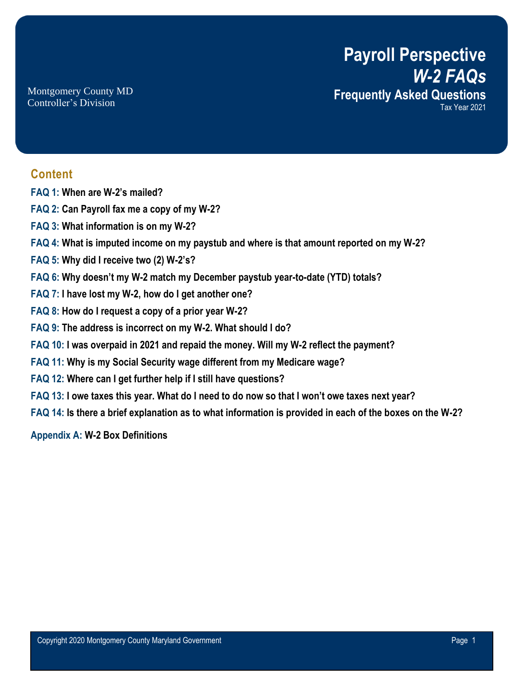**Payroll Perspective** *W-2 FAQs* **Frequently Asked Questions** Tax Year 2021

Montgomery County MD Controller's Division

### **Content**

- **FAQ 1: When are W-2's mailed?**
- **FAQ 2: Can Payroll fax me a copy of my W-2?**
- **FAQ 3: What information is on my W-2?**
- **FAQ 4: What is imputed income on my paystub and where is that amount reported on my W-2?**
- **FAQ 5: Why did I receive two (2) W-2's?**
- **FAQ 6: Why doesn't my W-2 match my December paystub year-to-date (YTD) totals?**
- **FAQ 7: I have lost my W-2, how do I get another one?**
- **FAQ 8: How do I request a copy of a prior year W-2?**
- **FAQ 9: The address is incorrect on my W-2. What should I do?**
- **FAQ 10: I was overpaid in 2021 and repaid the money. Will my W-2 reflect the payment?**
- **FAQ 11: Why is my Social Security wage different from my Medicare wage?**
- **FAQ 12: Where can I get further help if I still have questions?**
- **FAQ 13: I owe taxes this year. What do I need to do now so that I won't owe taxes next year?**
- **FAQ 14: Is there a brief explanation as to what information is provided in each of the boxes on the W-2?**

**Appendix A: W-2 Box Definitions**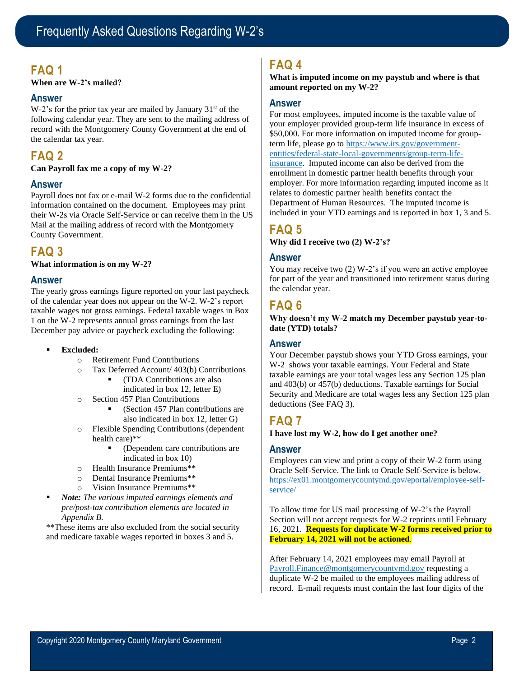## **FAQ 1**

**When are W-2's mailed?**

### **Answer**

W-2's for the prior tax year are mailed by January  $31<sup>st</sup>$  of the following calendar year. They are sent to the mailing address of record with the Montgomery County Government at the end of the calendar tax year.

# **FAQ 2**

**Can Payroll fax me a copy of my W-2?**

### **Answer**

Payroll does not fax or e-mail W-2 forms due to the confidential information contained on the document. Employees may print their W-2s via Oracle Self-Service or can receive them in the US Mail at the mailing address of record with the Montgomery County Government.

### **FAQ 3**

**What information is on my W-2?**

### **Answer**

The yearly gross earnings figure reported on your last paycheck of the calendar year does not appear on the W-2. W-2's report taxable wages not gross earnings. Federal taxable wages in Box 1 on the W-2 represents annual gross earnings from the last December pay advice or paycheck excluding the following:

- Excluded:
	- o Retirement Fund Contributions
	- o Tax Deferred Account/ 403(b) Contributions
		- (TDA Contributions are also indicated in box 12, letter E)
	- o Section 457 Plan Contributions
		- (Section 457 Plan contributions are also indicated in box 12, letter G)
	- o Flexible Spending Contributions (dependent health care)\*\*
		- (Dependent care contributions are indicated in box 10)
	- o Health Insurance Premiums\*\*
	- o Dental Insurance Premiums\*\*
	- o Vision Insurance Premiums\*\*
- *Note: The various imputed earnings elements and pre/post-tax contribution elements are located in Appendix B.*

\*\*These items are also excluded from the social security and medicare taxable wages reported in boxes 3 and 5.

### **FAQ 4**

**What is imputed income on my paystub and where is that amount reported on my W-2?**

#### **Answer**

For most employees, imputed income is the taxable value of your employer provided group-term life insurance in excess of \$50,000. For more information on imputed income for groupterm life, please go to https://www.irs.gov/governmententities/federal-state-local-governments/group-term-lifeinsurance. Imputed income can also be derived from the enrollment in domestic partner health benefits through your employer. For more information regarding imputed income as it relates to domestic partner health benefits contact the Department of Human Resources. The imputed income is included in your YTD earnings and is reported in box 1, 3 and 5.

### **FAQ 5**

**Why did I receive two (2) W-2's?** 

#### **Answer**

You may receive two (2) W-2's if you were an active employee for part of the year and transitioned into retirement status during the calendar year.

# **FAQ 6**

**Why doesn't my W-2 match my December paystub year-todate (YTD) totals?**

### **Answer**

Your December paystub shows your YTD Gross earnings, your W-2 shows your taxable earnings. Your Federal and State taxable earnings are your total wages less any Section 125 plan and 403(b) or 457(b) deductions. Taxable earnings for Social Security and Medicare are total wages less any Section 125 plan deductions (See FAQ 3).

### **FAQ 7**

#### **I have lost my W-2, how do I get another one?**

#### **Answer**

Employees can view and print a copy of their W-2 form using Oracle Self-Service. The link to Oracle Self-Service is below. https://ex01.montgomerycountymd.gov/eportal/employee-selfservice/

To allow time for US mail processing of W-2's the Payroll Section will not accept requests for W-2 reprints until February 16, 2021. **Requests for duplicate W-2 forms received prior to February 14, 2021 will not be actioned**.

After February 14, 2021 employees may email Payroll at Payroll.Finance@montgomerycountymd.gov requesting a duplicate W-2 be mailed to the employees mailing address of record. E-mail requests must contain the last four digits of the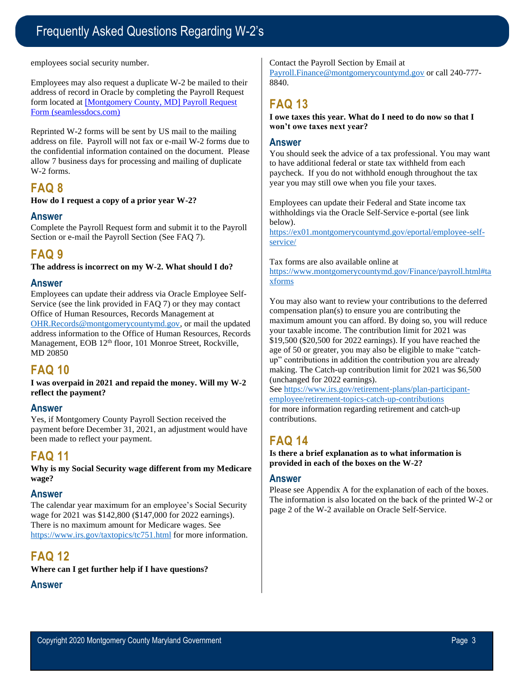# Frequently Asked Questions Regarding W-2's

employees social security number.

Employees may also request a duplicate W-2 be mailed to their address of record in Oracle by completing the Payroll Request form located at [Montgomery County, MD] Payroll Request Form (seamlessdocs.com)

Reprinted W-2 forms will be sent by US mail to the mailing address on file. Payroll will not fax or e-mail W-2 forms due to the confidential information contained on the document. Please allow 7 business days for processing and mailing of duplicate W-2 forms.

### **FAQ 8**

**How do I request a copy of a prior year W-2?**

### **Answer**

Complete the Payroll Request form and submit it to the Payroll Section or e-mail the Payroll Section (See FAO 7).

### **FAQ 9**

**The address is incorrect on my W-2. What should I do?** 

#### **Answer**

Employees can update their address via Oracle Employee Self-Service (see the link provided in FAQ 7) or they may contact Office of Human Resources, Records Management at OHR.Records@montgomerycountymd.gov, or mail the updated address information to the Office of Human Resources, Records Management, EOB 12<sup>th</sup> floor, 101 Monroe Street, Rockville, MD 20850

### **FAQ 10**

**I was overpaid in 2021 and repaid the money. Will my W-2 reflect the payment?**

### **Answer**

Yes, if Montgomery County Payroll Section received the payment before December 31, 2021, an adjustment would have been made to reflect your payment.

# **FAQ 11**

**Why is my Social Security wage different from my Medicare wage?**

### **Answer**

The calendar year maximum for an employee's Social Security wage for 2021 was \$142,800 (\$147,000 for 2022 earnings). There is no maximum amount for Medicare wages. See https://www.irs.gov/taxtopics/tc751.html for more information.

# **FAQ 12**

**Where can I get further help if I have questions?** 

### **Answer**

Contact the Payroll Section by Email at Payroll.Finance@montgomerycountymd.gov or call 240-777- 8840.

### **FAQ 13**

**I owe taxes this year. What do I need to do now so that I won't owe taxes next year?** 

#### **Answer**

You should seek the advice of a tax professional. You may want to have additional federal or state tax withheld from each paycheck. If you do not withhold enough throughout the tax year you may still owe when you file your taxes.

Employees can update their Federal and State income tax withholdings via the Oracle Self-Service e-portal (see link below).

https://ex01.montgomerycountymd.gov/eportal/employee-selfservice/

Tax forms are also available online at

https://www.montgomerycountymd.gov/Finance/payroll.html#ta xforms

You may also want to review your contributions to the deferred compensation plan(s) to ensure you are contributing the maximum amount you can afford. By doing so, you will reduce your taxable income. The contribution limit for 2021 was \$19,500 (\$20,500 for 2022 earnings). If you have reached the age of 50 or greater, you may also be eligible to make "catchup" contributions in addition the contribution you are already making. The Catch-up contribution limit for 2021 was \$6,500 (unchanged for 2022 earnings).

See https://www.irs.gov/retirement-plans/plan-participantemployee/retirement-topics-catch-up-contributions for more information regarding retirement and catch-up contributions.

# **FAQ 14**

**Is there a brief explanation as to what information is provided in each of the boxes on the W-2?** 

### **Answer**

Please see Appendix A for the explanation of each of the boxes. The information is also located on the back of the printed W-2 or page 2 of the W-2 available on Oracle Self-Service.